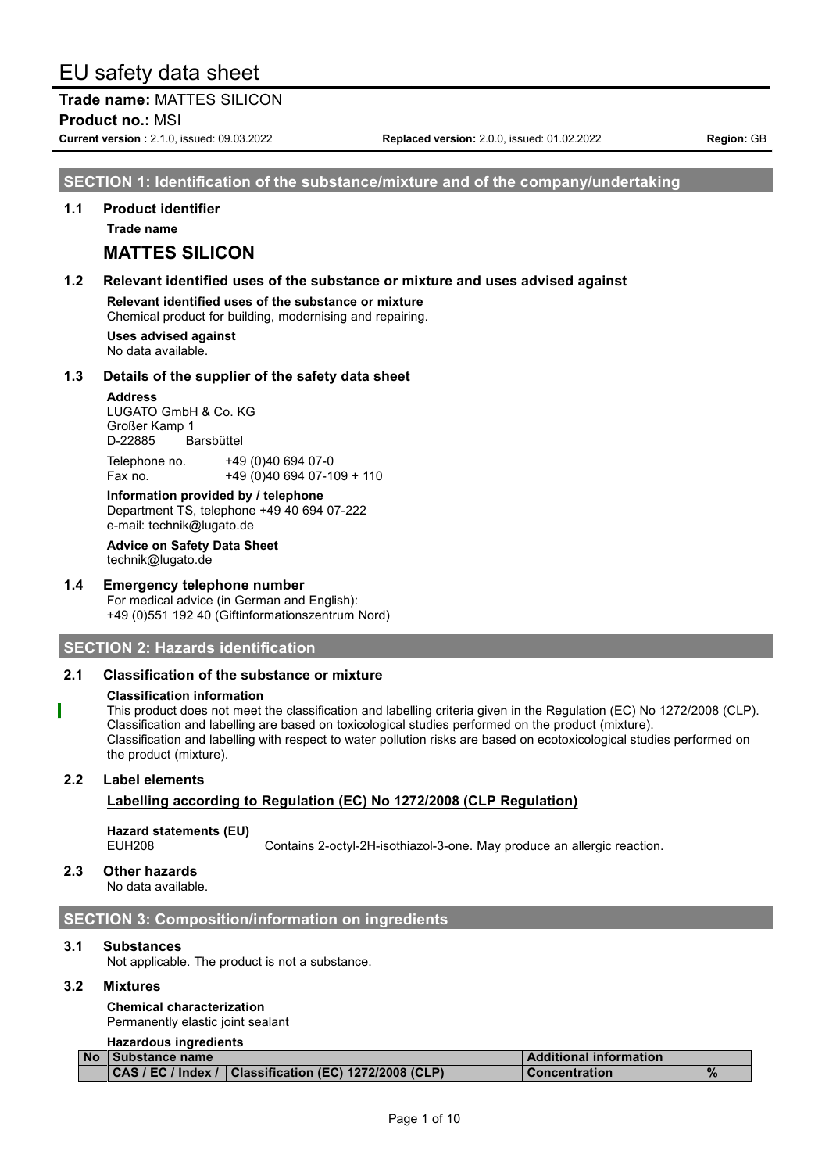**Trade name:** MATTES SILICON **Product no.:** MSI

**Current version :** 2.1.0, issued: 09.03.2022 **Replaced version:** 2.0.0, issued: 01.02.2022 **Region:** GB

# **SECTION 1: Identification of the substance/mixture and of the company/undertaking**

#### **1.1 Product identifier**

**Trade name**

# **MATTES SILICON**

#### **1.2 Relevant identified uses of the substance or mixture and uses advised against**

**Relevant identified uses of the substance or mixture** Chemical product for building, modernising and repairing.

**Uses advised against**

No data available.

#### **1.3 Details of the supplier of the safety data sheet**

#### **Address**

LUGATO GmbH & Co. KG Großer Kamp 1 D-22885 Barsbüttel

Telephone no. +49 (0)40 694 07-0 Fax no. +49 (0)40 694 07-109 + 110

**Information provided by / telephone** Department TS, telephone +49 40 694 07-222 e-mail: technik@lugato.de

**Advice on Safety Data Sheet** technik@lugato.de

#### **1.4 Emergency telephone number**

For medical advice (in German and English): +49 (0)551 192 40 (Giftinformationszentrum Nord)

### **SECTION 2: Hazards identification**

#### **2.1 Classification of the substance or mixture**

#### **Classification information**

This product does not meet the classification and labelling criteria given in the Regulation (EC) No 1272/2008 (CLP). Classification and labelling are based on toxicological studies performed on the product (mixture). Classification and labelling with respect to water pollution risks are based on ecotoxicological studies performed on the product (mixture).

#### **2.2 Label elements**

### **Labelling according to Regulation (EC) No 1272/2008 (CLP Regulation)**

# **Hazard statements (EU)**

Contains 2-octyl-2H-isothiazol-3-one. May produce an allergic reaction.

#### **2.3 Other hazards**

No data available.

### **SECTION 3: Composition/information on ingredients**

#### **3.1 Substances**

Not applicable. The product is not a substance.

#### **3.2 Mixtures**

**Chemical characterization** Permanently elastic joint sealant

# **Hazardous ingredients**

| No Substance name |                                                          | <b>Additional information</b> |               |
|-------------------|----------------------------------------------------------|-------------------------------|---------------|
|                   | CAS / EC / Index /   Classification (EC) 1272/2008 (CLP) | <b>Concentration</b>          | $\frac{9}{6}$ |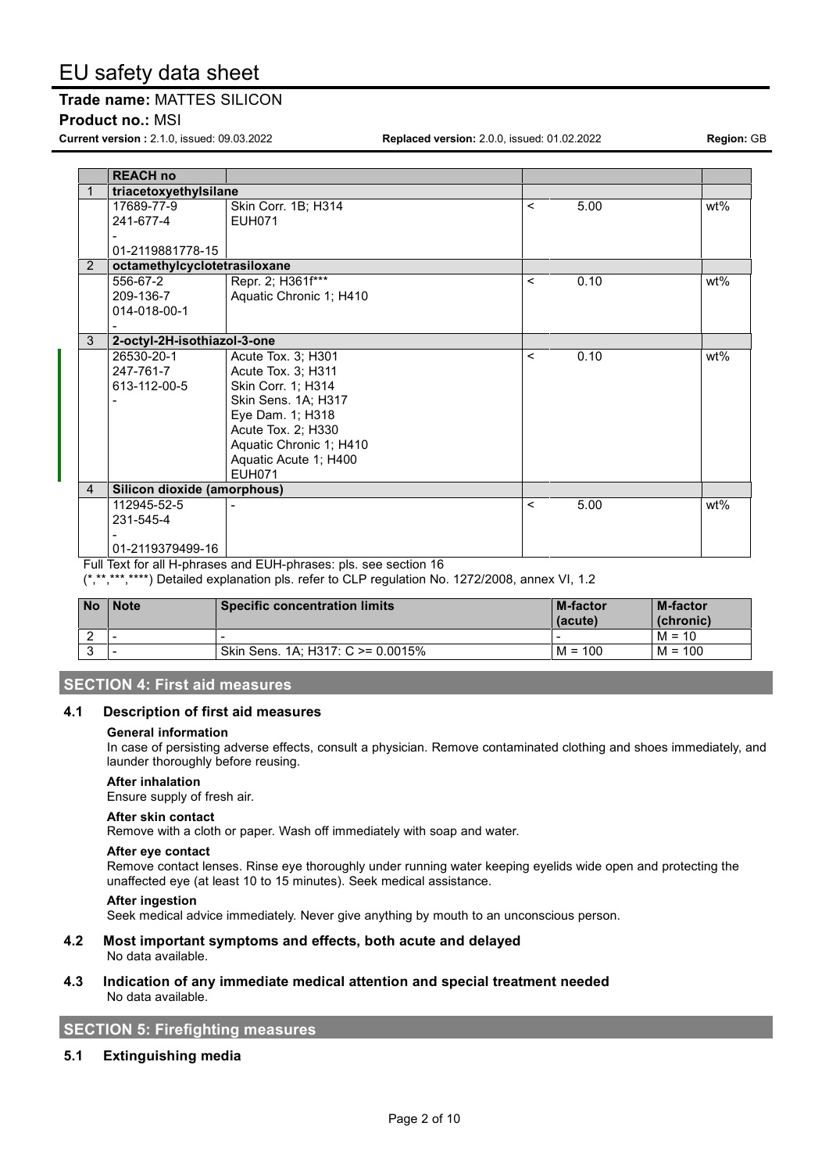### **Trade name:** MATTES SILICON

#### **Product no.:** MSI

**Current version :** 2.1.0, issued: 09.03.2022 **Replaced version:** 2.0.0, issued: 01.02.2022 **Region:** GB

|                | <b>REACH no</b>              |                         |         |      |     |
|----------------|------------------------------|-------------------------|---------|------|-----|
|                | triacetoxyethylsilane        |                         |         |      |     |
|                | 17689-77-9                   | Skin Corr. 1B; H314     | $\prec$ | 5.00 | wt% |
|                | 241-677-4                    | <b>EUH071</b>           |         |      |     |
|                |                              |                         |         |      |     |
|                | 01-2119881778-15             |                         |         |      |     |
| 2              | octamethylcyclotetrasiloxane |                         |         |      |     |
|                | 556-67-2                     | Repr. 2; H361f***       | $\prec$ | 0.10 | wt% |
|                | 209-136-7                    | Aquatic Chronic 1; H410 |         |      |     |
|                | 014-018-00-1                 |                         |         |      |     |
|                |                              |                         |         |      |     |
| 3              | 2-octyl-2H-isothiazol-3-one  |                         |         |      |     |
|                | 26530-20-1                   | Acute Tox. 3; H301      | $\prec$ | 0.10 | wt% |
|                | 247-761-7                    | Acute Tox. 3; H311      |         |      |     |
|                | 613-112-00-5                 | Skin Corr. 1; H314      |         |      |     |
|                |                              | Skin Sens. 1A; H317     |         |      |     |
|                |                              | Eye Dam. 1; H318        |         |      |     |
|                |                              | Acute Tox. 2; H330      |         |      |     |
|                |                              | Aquatic Chronic 1; H410 |         |      |     |
|                |                              | Aquatic Acute 1; H400   |         |      |     |
|                |                              | <b>EUH071</b>           |         |      |     |
| $\overline{4}$ | Silicon dioxide (amorphous)  |                         |         |      |     |
|                | 112945-52-5                  |                         | $\prec$ | 5.00 | wt% |
|                | 231-545-4                    |                         |         |      |     |
|                |                              |                         |         |      |     |
|                | 01-2119379499-16             |                         |         |      |     |

Full Text for all H-phrases and EUH-phrases: pls. see section 16

(\*,\*\*,\*\*\*,\*\*\*\*) Detailed explanation pls. refer to CLP regulation No. 1272/2008, annex VI, 1.2

| <b>No</b> | <b>Note</b> | Specific concentration limits      | <b>M-factor</b><br>(acute) | M-factor<br>(chronic) |
|-----------|-------------|------------------------------------|----------------------------|-----------------------|
|           | . .         |                                    |                            | $M = 10$              |
|           | . .         | Skin Sens. 1A: H317: C > = 0.0015% | $M = 100$                  | $M = 100$             |

# **SECTION 4: First aid measures**

#### **4.1 Description of first aid measures**

#### **General information**

In case of persisting adverse effects, consult a physician. Remove contaminated clothing and shoes immediately, and launder thoroughly before reusing.

#### **After inhalation**

Ensure supply of fresh air.

#### **After skin contact**

Remove with a cloth or paper. Wash off immediately with soap and water.

#### **After eye contact**

Remove contact lenses. Rinse eye thoroughly under running water keeping eyelids wide open and protecting the unaffected eye (at least 10 to 15 minutes). Seek medical assistance.

#### **After ingestion**

Seek medical advice immediately. Never give anything by mouth to an unconscious person.

#### **4.2 Most important symptoms and effects, both acute and delayed** No data available.

#### **4.3 Indication of any immediate medical attention and special treatment needed** No data available.

**SECTION 5: Firefighting measures**

#### **5.1 Extinguishing media**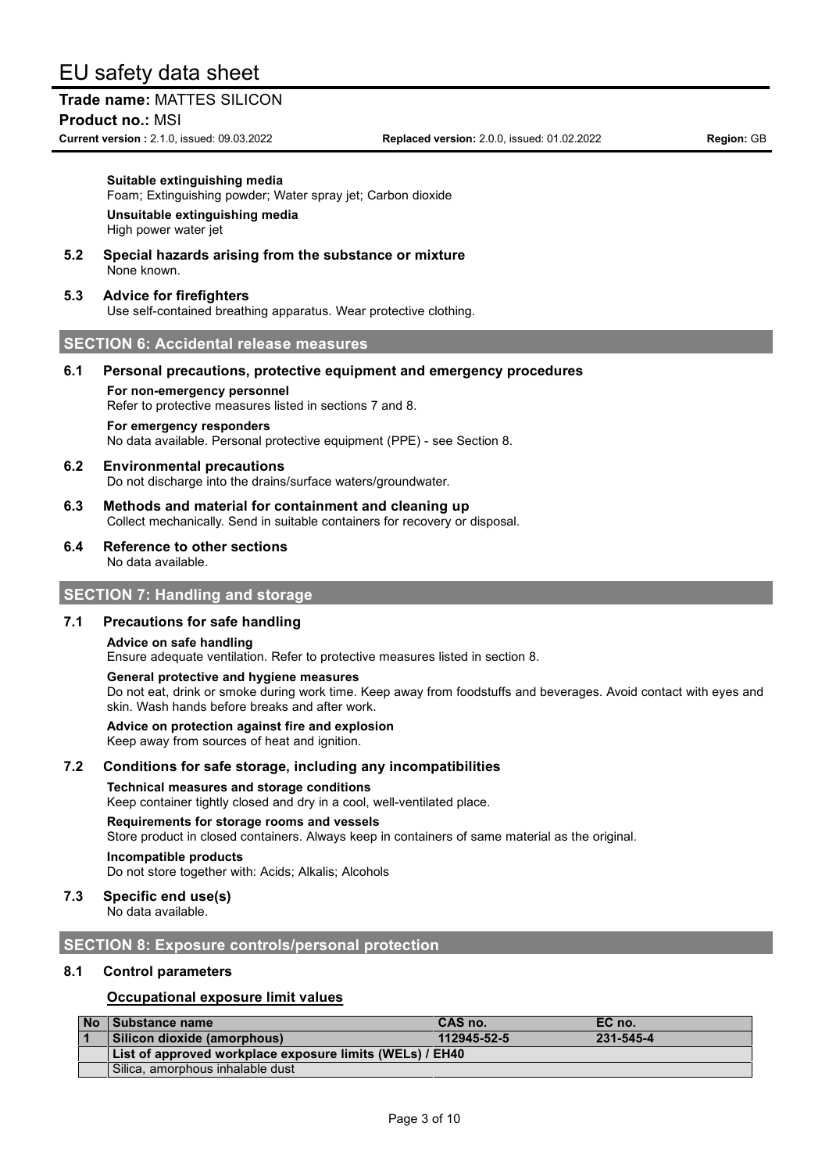# **Trade name:** MATTES SILICON

**Product no.:** MSI

**Current version :** 2.1.0, issued: 09.03.2022 **Replaced version:** 2.0.0, issued: 01.02.2022 **Region:** GB

#### **Suitable extinguishing media**

Foam; Extinguishing powder; Water spray jet; Carbon dioxide **Unsuitable extinguishing media** High power water jet

**5.2 Special hazards arising from the substance or mixture** None known.

#### **5.3 Advice for firefighters**

Use self-contained breathing apparatus. Wear protective clothing.

#### **SECTION 6: Accidental release measures**

#### **6.1 Personal precautions, protective equipment and emergency procedures**

#### **For non-emergency personnel**

Refer to protective measures listed in sections 7 and 8.

#### **For emergency responders**

No data available. Personal protective equipment (PPE) - see Section 8.

#### **6.2 Environmental precautions** Do not discharge into the drains/surface waters/groundwater.

- **6.3 Methods and material for containment and cleaning up** Collect mechanically. Send in suitable containers for recovery or disposal.
- **6.4 Reference to other sections** No data available.

#### **SECTION 7: Handling and storage**

#### **7.1 Precautions for safe handling**

#### **Advice on safe handling**

Ensure adequate ventilation. Refer to protective measures listed in section 8.

#### **General protective and hygiene measures**

Do not eat, drink or smoke during work time. Keep away from foodstuffs and beverages. Avoid contact with eyes and skin. Wash hands before breaks and after work.

#### **Advice on protection against fire and explosion**

Keep away from sources of heat and ignition.

#### **7.2 Conditions for safe storage, including any incompatibilities**

**Technical measures and storage conditions**

Keep container tightly closed and dry in a cool, well-ventilated place.

#### **Requirements for storage rooms and vessels**

Store product in closed containers. Always keep in containers of same material as the original.

#### **Incompatible products**

Do not store together with: Acids; Alkalis; Alcohols

### **7.3 Specific end use(s)**

No data available.

#### **SECTION 8: Exposure controls/personal protection**

#### **8.1 Control parameters**

#### **Occupational exposure limit values**

| No Substance name                                        | CAS no.     | EC no.    |  |
|----------------------------------------------------------|-------------|-----------|--|
| Silicon dioxide (amorphous)                              | 112945-52-5 | 231-545-4 |  |
| List of approved workplace exposure limits (WELs) / EH40 |             |           |  |
| Silica, amorphous inhalable dust                         |             |           |  |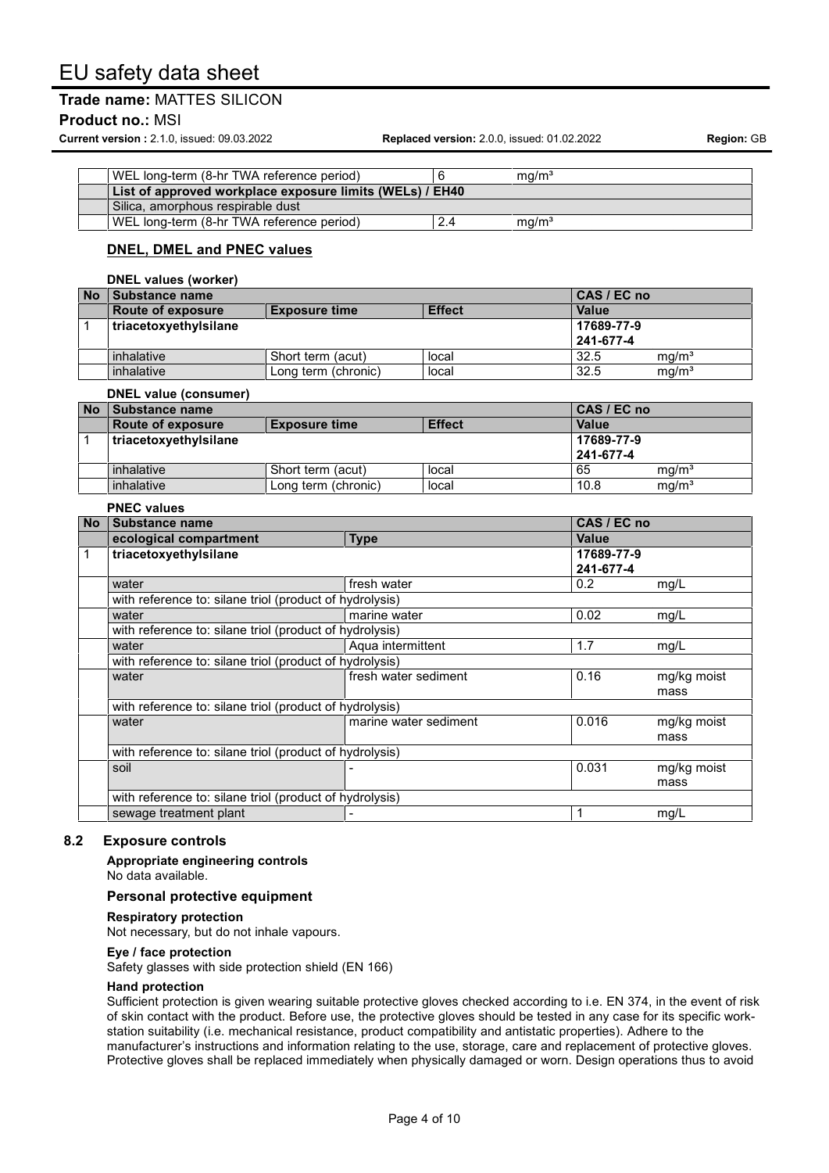### **Trade name:** MATTES SILICON

#### **Product no.:** MSI

**Current version :** 2.1.0, issued: 09.03.2022 **Replaced version:** 2.0.0, issued: 01.02.2022 **Region:** GB

| WEL long-term (8-hr TWA reference period)                |  | ma/m <sup>3</sup> |  |
|----------------------------------------------------------|--|-------------------|--|
| List of approved workplace exposure limits (WELs) / EH40 |  |                   |  |
| Silica, amorphous respirable dust                        |  |                   |  |
| WEL long-term (8-hr TWA reference period)                |  | ma/m <sup>3</sup> |  |

# **DNEL, DMEL and PNEC values**

#### **DNEL values (worker) No Substance name CAS / EC no Route** of exposure **and Exposure Exposure Effect Effect Exposure P Value** 1 **triacetoxyethylsilane 17689-77-9 241-677-4** inhalative Short term (acut) local 32.5 mg/m<sup>3</sup> inhalative Long term (chronic) local 32.5 mg/m<sup>3</sup> **DNEL value (consumer) No Substance name CAS / EC no**

| l No | Substance name           |                      |               | CAS / EC no  |                   |
|------|--------------------------|----------------------|---------------|--------------|-------------------|
|      | <b>Route of exposure</b> | <b>Exposure time</b> | <b>Effect</b> | <b>Value</b> |                   |
|      | triacetoxyethylsilane    |                      |               | 17689-77-9   |                   |
|      |                          |                      |               | 241-677-4    |                   |
|      | inhalative               | Short term (acut)    | local         | 65           | ma/m <sup>3</sup> |
|      | inhalative               | Long term (chronic)  | local         | 10.8         | mg/m <sup>3</sup> |

|                                                         | <b>PNEC values</b>                                      |                       |                         |             |
|---------------------------------------------------------|---------------------------------------------------------|-----------------------|-------------------------|-------------|
| <b>No</b>                                               | Substance name                                          |                       | CAS / EC no             |             |
|                                                         | ecological compartment                                  | <b>Type</b>           | Value                   |             |
| 1                                                       | triacetoxyethylsilane                                   |                       | 17689-77-9<br>241-677-4 |             |
|                                                         | water                                                   | fresh water           | 0.2                     | mg/L        |
|                                                         | with reference to: silane triol (product of hydrolysis) |                       |                         |             |
|                                                         | water                                                   | marine water          | 0.02                    | mg/L        |
|                                                         | with reference to: silane triol (product of hydrolysis) |                       |                         |             |
|                                                         | water                                                   | Aqua intermittent     | 1.7                     | mg/L        |
| with reference to: silane triol (product of hydrolysis) |                                                         |                       |                         |             |
|                                                         | water                                                   | fresh water sediment  | 0.16                    | mg/kg moist |
|                                                         |                                                         |                       |                         | mass        |
| with reference to: silane triol (product of hydrolysis) |                                                         |                       |                         |             |
|                                                         | water                                                   | marine water sediment | 0.016                   | mg/kg moist |
|                                                         |                                                         |                       |                         | mass        |
|                                                         | with reference to: silane triol (product of hydrolysis) |                       |                         |             |
|                                                         | soil                                                    |                       | 0.031                   | mg/kg moist |
|                                                         |                                                         |                       |                         | mass        |
|                                                         | with reference to: silane triol (product of hydrolysis) |                       |                         |             |
|                                                         | sewage treatment plant                                  |                       |                         | mg/L        |

#### **8.2 Exposure controls**

**Appropriate engineering controls** No data available.

#### **Personal protective equipment**

#### **Respiratory protection**

Not necessary, but do not inhale vapours.

#### **Eye / face protection**

Safety glasses with side protection shield (EN 166)

#### **Hand protection**

Sufficient protection is given wearing suitable protective gloves checked according to i.e. EN 374, in the event of risk of skin contact with the product. Before use, the protective gloves should be tested in any case for its specific workstation suitability (i.e. mechanical resistance, product compatibility and antistatic properties). Adhere to the manufacturer's instructions and information relating to the use, storage, care and replacement of protective gloves. Protective gloves shall be replaced immediately when physically damaged or worn. Design operations thus to avoid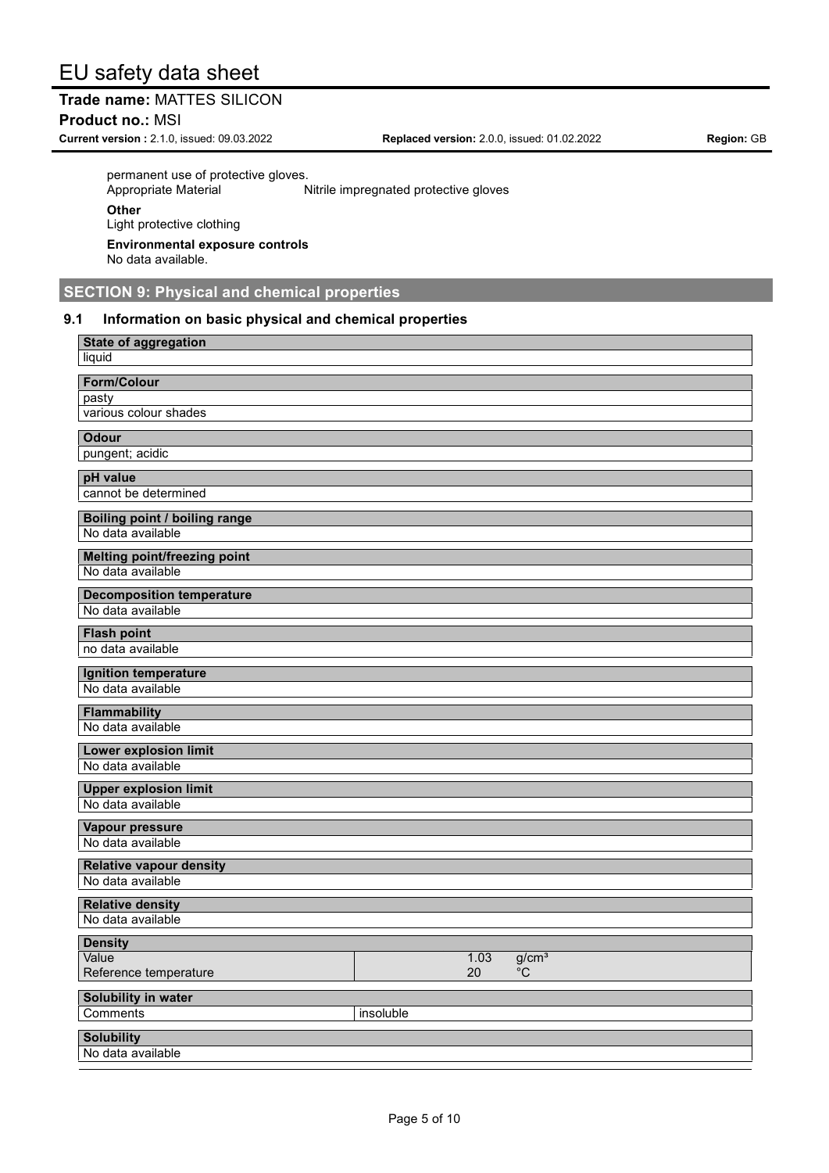# **Trade name:** MATTES SILICON

**Product no.:** MSI

**Current version :** 2.1.0, issued: 09.03.2022 **Replaced version:** 2.0.0, issued: 01.02.2022 **Region:** GB

permanent use of protective gloves.<br>Appropriate Material

Nitrile impregnated protective gloves **Other** Light protective clothing **Environmental exposure controls** No data available.

**SECTION 9: Physical and chemical properties**

### **9.1 Information on basic physical and chemical properties**

| <b>State of aggregation</b>                         |                                       |
|-----------------------------------------------------|---------------------------------------|
| liquid                                              |                                       |
| <b>Form/Colour</b>                                  |                                       |
| pasty                                               |                                       |
| various colour shades                               |                                       |
| <b>Odour</b>                                        |                                       |
| pungent; acidic                                     |                                       |
| pH value                                            |                                       |
| cannot be determined                                |                                       |
|                                                     |                                       |
| Boiling point / boiling range<br>No data available  |                                       |
|                                                     |                                       |
| <b>Melting point/freezing point</b>                 |                                       |
| No data available                                   |                                       |
| <b>Decomposition temperature</b>                    |                                       |
| No data available                                   |                                       |
| <b>Flash point</b>                                  |                                       |
| no data available                                   |                                       |
| Ignition temperature                                |                                       |
| No data available                                   |                                       |
| <b>Flammability</b>                                 |                                       |
| No data available                                   |                                       |
| <b>Lower explosion limit</b>                        |                                       |
| No data available                                   |                                       |
| <b>Upper explosion limit</b>                        |                                       |
| No data available                                   |                                       |
| Vapour pressure                                     |                                       |
| No data available                                   |                                       |
|                                                     |                                       |
| <b>Relative vapour density</b><br>No data available |                                       |
|                                                     |                                       |
| <b>Relative density</b><br>No data available        |                                       |
|                                                     |                                       |
| <b>Density</b><br>Value                             |                                       |
| Reference temperature                               | g/cm <sup>3</sup><br>1.03<br>20<br>°C |
|                                                     |                                       |
| Solubility in water                                 |                                       |
| Comments<br>insoluble                               |                                       |
| <b>Solubility</b>                                   |                                       |
| No data available                                   |                                       |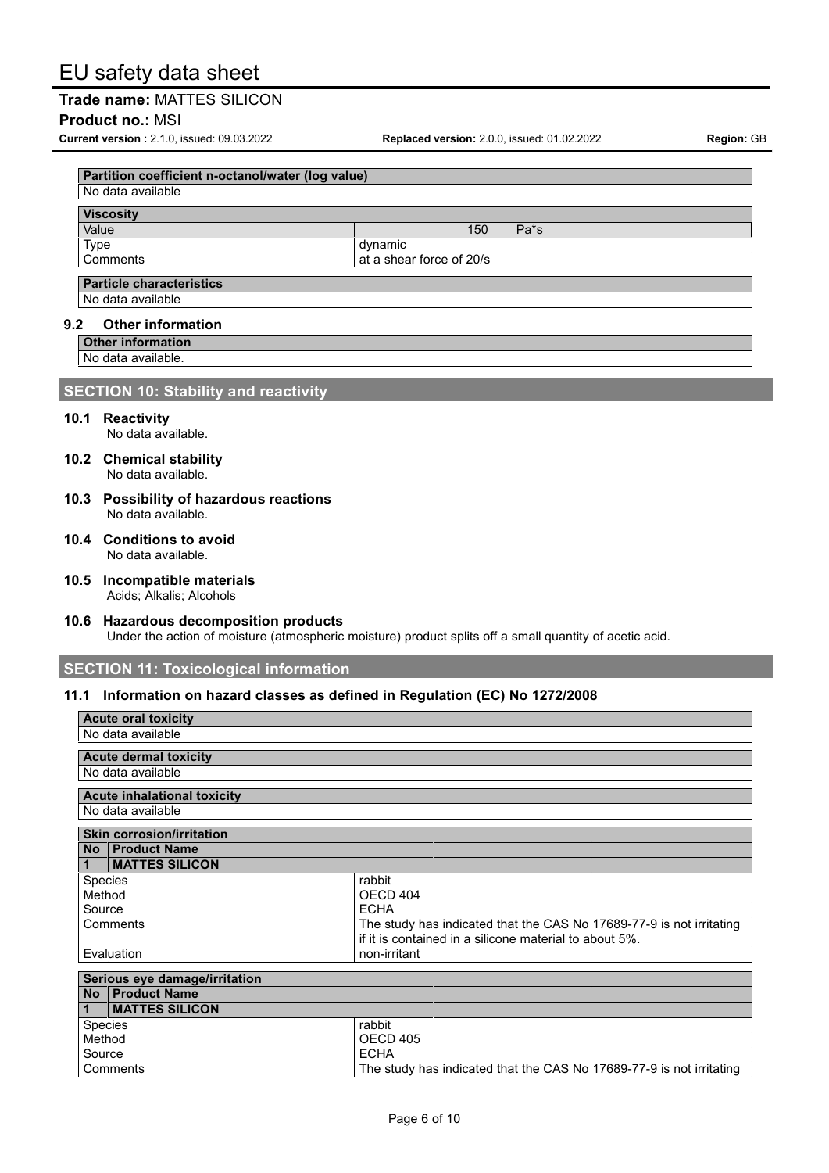### **Trade name:** MATTES SILICON

#### **Product no.:** MSI

**Current version :** 2.1.0, issued: 09.03.2022 **Replaced version:** 2.0.0, issued: 01.02.2022 **Region:** GB

| No data available |                          |  |  |  |  |  |
|-------------------|--------------------------|--|--|--|--|--|
|                   |                          |  |  |  |  |  |
| <b>Viscosity</b>  |                          |  |  |  |  |  |
| Value             | 150<br>$Pa*_{S}$         |  |  |  |  |  |
| Type              | dynamic                  |  |  |  |  |  |
| Comments          | at a shear force of 20/s |  |  |  |  |  |
|                   |                          |  |  |  |  |  |

No data available

#### **9.2 Other information**

**Other information**

No data available.

### **SECTION 10: Stability and reactivity**

#### **10.1 Reactivity**

No data available.

- **10.2 Chemical stability** No data available.
- **10.3 Possibility of hazardous reactions** No data available.
- **10.4 Conditions to avoid** No data available.
- **10.5 Incompatible materials** Acids; Alkalis; Alcohols
- **10.6 Hazardous decomposition products** Under the action of moisture (atmospheric moisture) product splits off a small quantity of acetic acid.

### **SECTION 11: Toxicological information**

#### **11.1 Information on hazard classes as defined in Regulation (EC) No 1272/2008**

| <b>Acute oral toxicity</b>            |                                                                      |
|---------------------------------------|----------------------------------------------------------------------|
| No data available                     |                                                                      |
| <b>Acute dermal toxicity</b>          |                                                                      |
| No data available                     |                                                                      |
| Acute inhalational toxicity           |                                                                      |
| No data available                     |                                                                      |
| <b>Skin corrosion/irritation</b>      |                                                                      |
| No   Product Name                     |                                                                      |
| <b>MATTES SILICON</b><br>$\mathbf{1}$ |                                                                      |
| Species                               | rabbit                                                               |
| Method                                | OECD 404                                                             |
| Source                                | <b>ECHA</b>                                                          |
| Comments                              | The study has indicated that the CAS No 17689-77-9 is not irritating |
|                                       | if it is contained in a silicone material to about 5%.               |
| Evaluation                            | non-irritant                                                         |
| Serious eye damage/irritation         |                                                                      |
| No   Product Name                     |                                                                      |
| <b>MATTES SILICON</b><br>$\mathbf{1}$ |                                                                      |
|                                       |                                                                      |
| <b>Species</b>                        | rabbit                                                               |
| Method                                | OECD 405                                                             |
| Source                                | <b>ECHA</b>                                                          |
| Comments                              | The study has indicated that the CAS No 17689-77-9 is not irritating |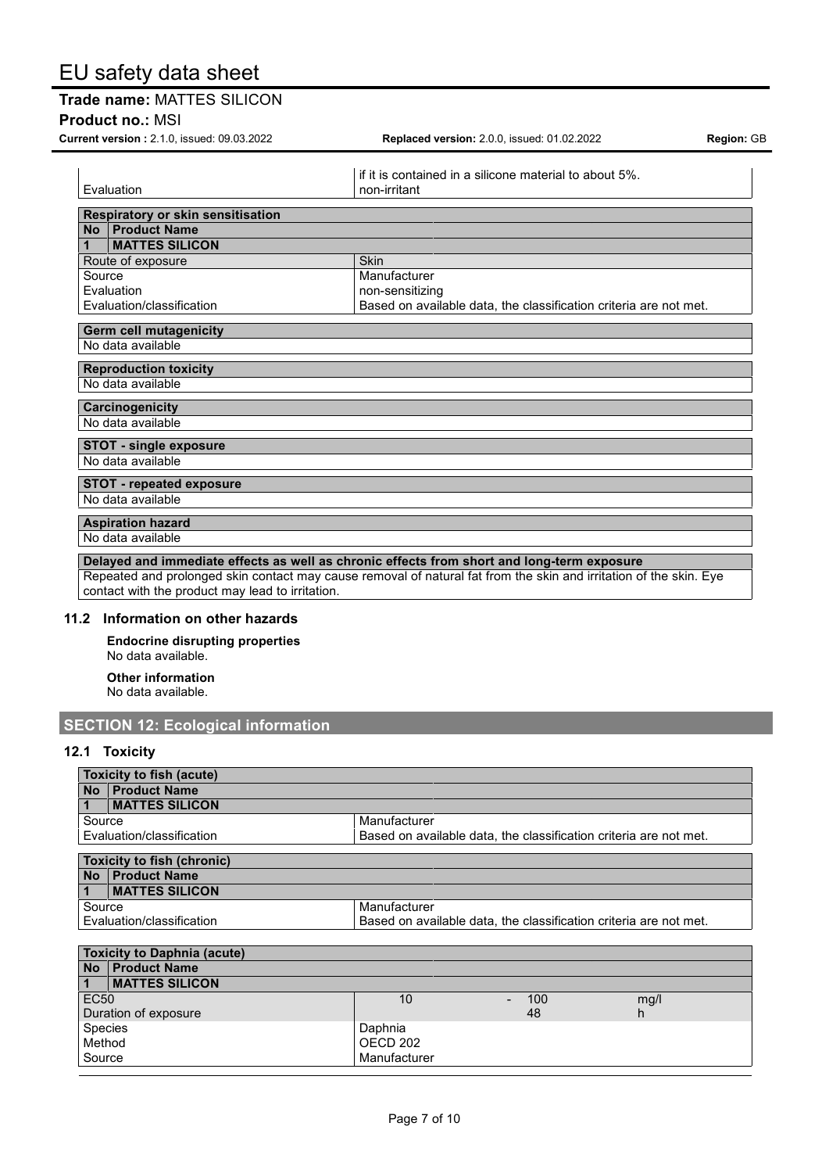# **Trade name:** MATTES SILICON

**Product no.:** MSI

**Current version :** 2.1.0, issued: 09.03.2022 **Replaced version:** 2.0.0, issued: 01.02.2022 **Region:** GB

if it is contained in a silicone material to about 5%. Evaluation **non-irritant Respiratory or skin sensitisation No Product Name 1 MATTES SILICON** Route of exposure Skin Source Manufacturer Evaluation<br>Evaluation/classification example to the Based on avail Based on available data, the classification criteria are not met. **Germ cell mutagenicity** No data available **Reproduction toxicity** No data available **Carcinogenicity** No data available **STOT - single exposure** No data available **STOT - repeated exposure** No data available **Aspiration hazard** No data available **Delayed and immediate effects as well as chronic effects from short and long-term exposure** Repeated and prolonged skin contact may cause removal of natural fat from the skin and irritation of the skin. Eye contact with the product may lead to irritation.

#### **11.2 Information on other hazards**

**Endocrine disrupting properties** No data available.

**Other information** No data available.

# **SECTION 12: Ecological information**

#### **12.1 Toxicity**

| Toxicity to fish (acute)                                                                       |  |  |  |  |  |
|------------------------------------------------------------------------------------------------|--|--|--|--|--|
| No   Product Name                                                                              |  |  |  |  |  |
| <b>MATTES SILICON</b>                                                                          |  |  |  |  |  |
| Source<br>Manufacturer                                                                         |  |  |  |  |  |
| Based on available data, the classification criteria are not met.<br>Evaluation/classification |  |  |  |  |  |
|                                                                                                |  |  |  |  |  |
| <b>Toxicity to fish (chronic)</b>                                                              |  |  |  |  |  |
| No Product Name                                                                                |  |  |  |  |  |
| <b>MATTES SILICON</b>                                                                          |  |  |  |  |  |
| Source<br>Manufacturer                                                                         |  |  |  |  |  |
| Based on available data, the classification criteria are not met.<br>Evaluation/classification |  |  |  |  |  |
|                                                                                                |  |  |  |  |  |

|                      | <b>Toxicity to Daphnia (acute)</b> |              |     |      |  |  |
|----------------------|------------------------------------|--------------|-----|------|--|--|
|                      | No Product Name                    |              |     |      |  |  |
| $\mathbf{1}$         | <b>IMATTES SILICON</b>             |              |     |      |  |  |
| EC <sub>50</sub>     |                                    | 10           | 100 | mg/l |  |  |
| Duration of exposure |                                    |              | 48  | n    |  |  |
| Species              |                                    | Daphnia      |     |      |  |  |
| Method               |                                    | OECD 202     |     |      |  |  |
| Source               |                                    | Manufacturer |     |      |  |  |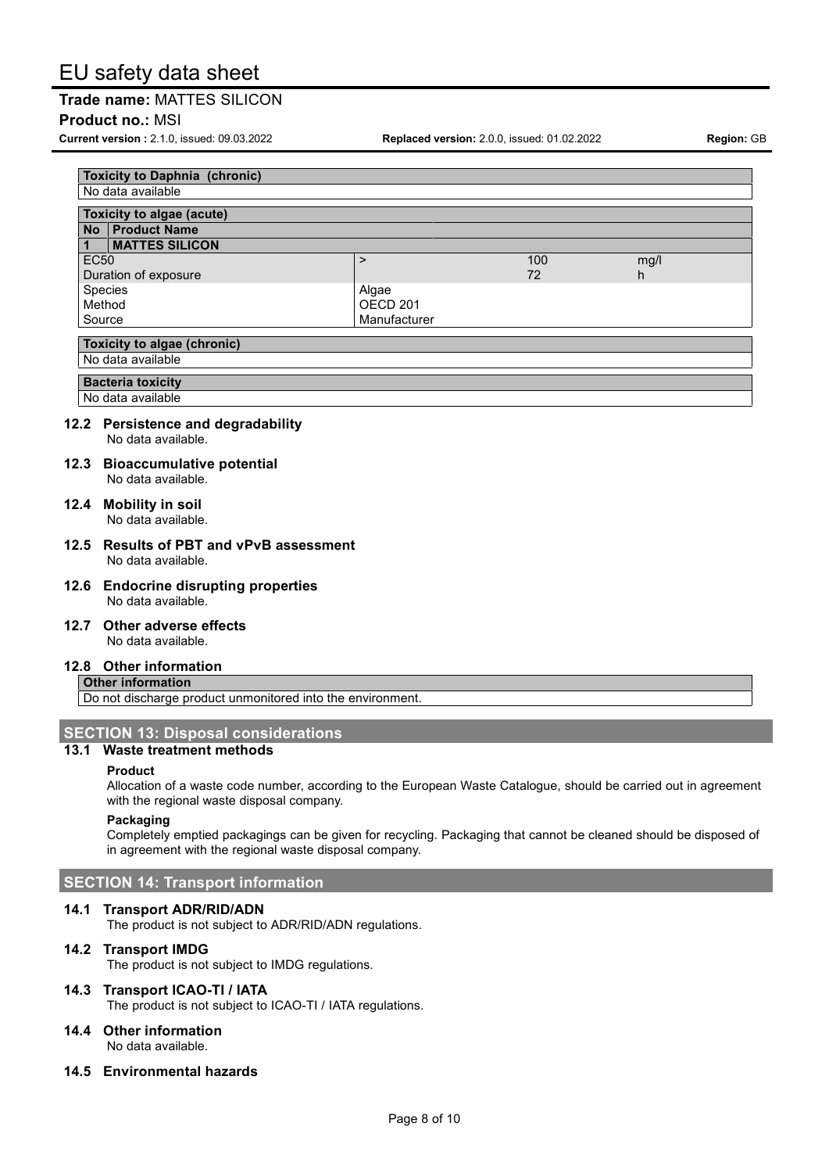### **Trade name:** MATTES SILICON

#### **Product no.:** MSI

**Current version :** 2.1.0, issued: 09.03.2022 **Replaced version:** 2.0.0, issued: 01.02.2022 **Region:** GB

| <b>Toxicity to Daphnia (chronic)</b> |                       |                     |     |      |  |  |  |
|--------------------------------------|-----------------------|---------------------|-----|------|--|--|--|
| No data available                    |                       |                     |     |      |  |  |  |
|                                      |                       |                     |     |      |  |  |  |
| Toxicity to algae (acute)            |                       |                     |     |      |  |  |  |
| <b>No</b>                            | <b>Product Name</b>   |                     |     |      |  |  |  |
|                                      | <b>MATTES SILICON</b> |                     |     |      |  |  |  |
| <b>EC50</b>                          |                       | >                   | 100 | mg/l |  |  |  |
| Duration of exposure                 |                       |                     | 72  | h    |  |  |  |
| Species                              |                       | Algae               |     |      |  |  |  |
| Method                               |                       | OECD <sub>201</sub> |     |      |  |  |  |
| Source                               |                       | Manufacturer        |     |      |  |  |  |
|                                      |                       |                     |     |      |  |  |  |
| <b>Toxicity to algae (chronic)</b>   |                       |                     |     |      |  |  |  |
| No data available                    |                       |                     |     |      |  |  |  |
|                                      |                       |                     |     |      |  |  |  |

**Bacteria toxicity**

No data available

#### **12.2 Persistence and degradability**

No data available.

#### **12.3 Bioaccumulative potential** No data available.

**12.4 Mobility in soil** No data available.

#### **12.5 Results of PBT and vPvB assessment** No data available.

- **12.6 Endocrine disrupting properties** No data available.
- **12.7 Other adverse effects**

No data available.

### **12.8 Other information**

#### **Other information**

Do not discharge product unmonitored into the environment.

# **SECTION 13: Disposal considerations**

# **13.1 Waste treatment methods**

#### **Product**

Allocation of a waste code number, according to the European Waste Catalogue, should be carried out in agreement with the regional waste disposal company.

#### **Packaging**

Completely emptied packagings can be given for recycling. Packaging that cannot be cleaned should be disposed of in agreement with the regional waste disposal company.

# **SECTION 14: Transport information**

#### **14.1 Transport ADR/RID/ADN**

The product is not subject to ADR/RID/ADN regulations.

#### **14.2 Transport IMDG**

The product is not subject to IMDG regulations.

# **14.3 Transport ICAO-TI / IATA**

The product is not subject to ICAO-TI / IATA regulations.

#### **14.4 Other information** No data available.

**14.5 Environmental hazards**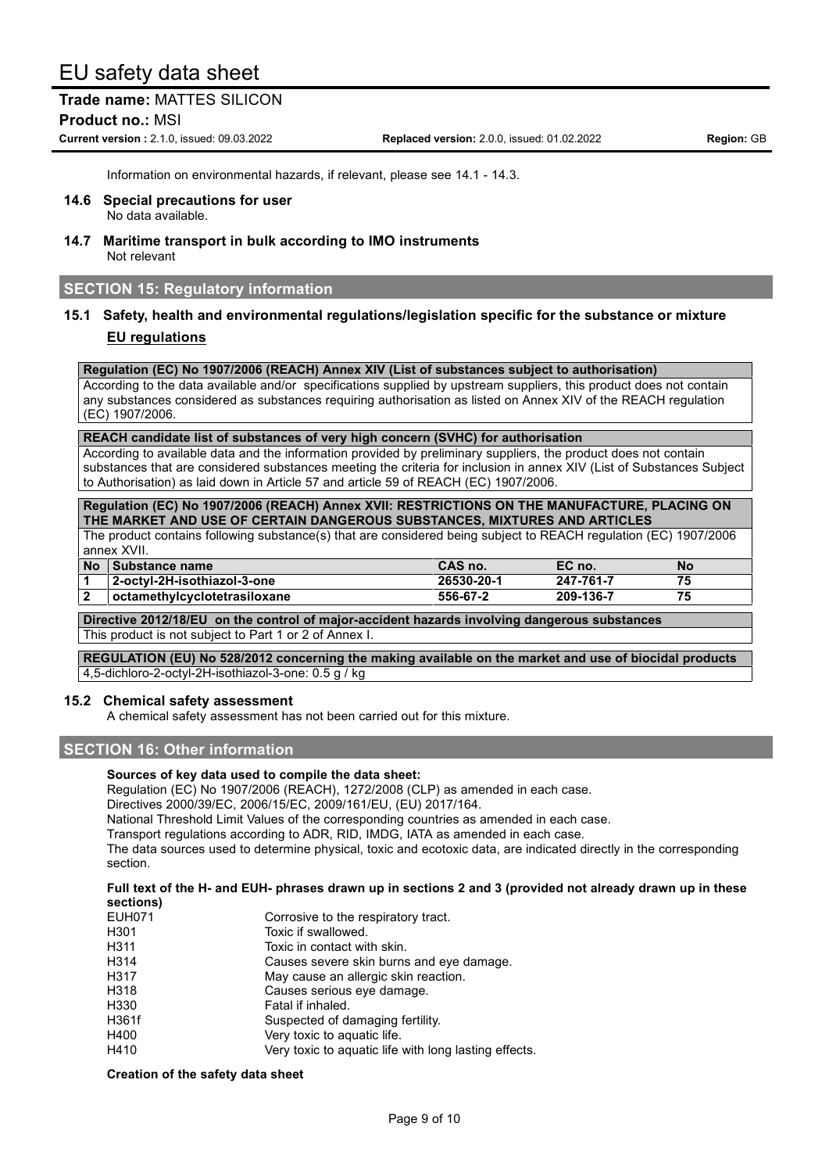**Trade name:** MATTES SILICON **Product no.:** MSI

**Current version :** 2.1.0, issued: 09.03.2022 **Replaced version:** 2.0.0, issued: 01.02.2022 **Region:** GB

Information on environmental hazards, if relevant, please see 14.1 - 14.3.

- **14.6 Special precautions for user** No data available.
- **14.7 Maritime transport in bulk according to IMO instruments** Not relevant

### **SECTION 15: Regulatory information**

### **15.1 Safety, health and environmental regulations/legislation specific for the substance or mixture EU regulations**

**Regulation (EC) No 1907/2006 (REACH) Annex XIV (List of substances subject to authorisation)**

According to the data available and/or specifications supplied by upstream suppliers, this product does not contain any substances considered as substances requiring authorisation as listed on Annex XIV of the REACH regulation (EC) 1907/2006.

**REACH candidate list of substances of very high concern (SVHC) for authorisation**

According to available data and the information provided by preliminary suppliers, the product does not contain substances that are considered substances meeting the criteria for inclusion in annex XIV (List of Substances Subject to Authorisation) as laid down in Article 57 and article 59 of REACH (EC) 1907/2006.

**Regulation (EC) No 1907/2006 (REACH) Annex XVII: RESTRICTIONS ON THE MANUFACTURE, PLACING ON THE MARKET AND USE OF CERTAIN DANGEROUS SUBSTANCES, MIXTURES AND ARTICLES**

The product contains following substance(s) that are considered being subject to REACH regulation (EC) 1907/2006 annex XVII.

| No Substance name             | CAS no.    | EC no.    | No |
|-------------------------------|------------|-----------|----|
| 2-octyl-2H-isothiazol-3-one   | 26530-20-1 | 247-761-7 | 75 |
| loctamethylcyclotetrasiloxane | 556-67-2   | 209-136-7 | 75 |
|                               |            |           |    |

**Directive 2012/18/EU on the control of major-accident hazards involving dangerous substances** This product is not subject to Part 1 or 2 of Annex I.

**REGULATION (EU) No 528/2012 concerning the making available on the market and use of biocidal products** 4,5-dichloro-2-octyl-2H-isothiazol-3-one: 0.5 g / kg

#### **15.2 Chemical safety assessment**

A chemical safety assessment has not been carried out for this mixture.

# **SECTION 16: Other information**

#### **Sources of key data used to compile the data sheet:**

Regulation (EC) No 1907/2006 (REACH), 1272/2008 (CLP) as amended in each case.

Directives 2000/39/EC, 2006/15/EC, 2009/161/EU, (EU) 2017/164.

National Threshold Limit Values of the corresponding countries as amended in each case.

Transport regulations according to ADR, RID, IMDG, IATA as amended in each case.

The data sources used to determine physical, toxic and ecotoxic data, are indicated directly in the corresponding section.

#### Full text of the H- and EUH- phrases drawn up in sections 2 and 3 (provided not already drawn up in these **sections)**

| <b>EUH071</b> | Corrosive to the respiratory tract.                   |  |  |
|---------------|-------------------------------------------------------|--|--|
| H301          | Toxic if swallowed.                                   |  |  |
| H311          | Toxic in contact with skin.                           |  |  |
| H314          | Causes severe skin burns and eye damage.              |  |  |
| H317          | May cause an allergic skin reaction.                  |  |  |
| H318          | Causes serious eye damage.                            |  |  |
| H330          | Fatal if inhaled.                                     |  |  |
| H361f         | Suspected of damaging fertility.                      |  |  |
| H400          | Very toxic to aquatic life.                           |  |  |
| H410          | Very toxic to aquatic life with long lasting effects. |  |  |

#### **Creation of the safety data sheet**